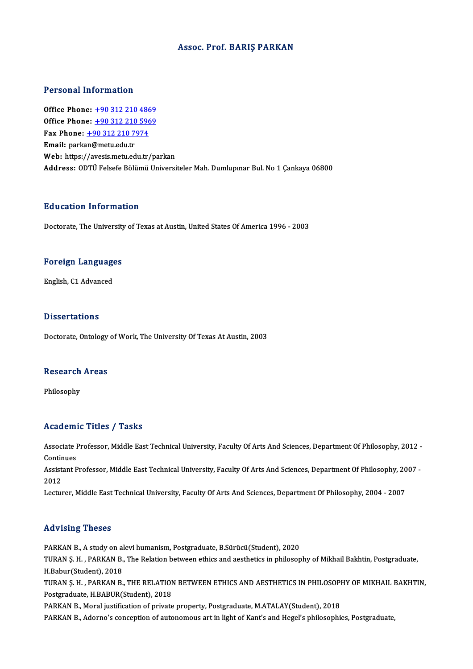### Assoc. Prof. BARIŞ PARKAN

### Personal Information

Personal Information<br>Office Phone: <u>+90 312 210 4869</u><br>Office Phone: 190 212 210 5969 Office Phone: <u>+90 312 210 4869</u><br>Office Phone: <u>+90 312 210 [5969](tel:+90 312 210 4869)</u><br>Fax Phone: 190 312 210 7974 Office Phone: <u>+90 312 210 486</u><br>Office Phone: <u>+90 312 210 596</u><br>Fax Phone: <u>+90 312 210 7974</u> Office Phone: <u>+90 312 210 5969</u><br>Fax Phone: <u>+90 312 210 7974</u><br>Email: park[an@metu.edu.tr](tel:+90 312 210 7974) Web: https://avesis.metu.edu.tr/parkan Address: ODTÜ Felsefe Bölümü Universiteler Mah. Dumlupınar Bul. No 1 Çankaya 06800

### Education Information

Doctorate, The University of Texas at Austin, United States Of America 1996 - 2003

# **Doctorate, The University**<br>Foreign Languages F<mark>oreign Languag</mark>e<br>English, C1 Advanced

English, C1 Advanced<br>Dissertations

Doctorate, Ontology of Work, The University Of Texas At Austin, 2003

# Doctorate, Ontology<br>Research Areas Re<mark>search</mark><br>Philosophy

# Philosophy<br>Academic Titles / Tasks

Academic Titles / Tasks<br>Associate Professor, Middle East Technical University, Faculty Of Arts And Sciences, Department Of Philosophy, 2012 -<br>Centinues Associate I<br>Continues<br>Assistant B Associate Professor, Middle East Technical University, Faculty Of Arts And Sciences, Department Of Philosophy, 2012 -<br>Continues<br>Assistant Professor, Middle East Technical University, Faculty Of Arts And Sciences, Departmen

Contin<br>Assist<br>2012<br>Lectur Assistant Professor, Middle East Technical University, Faculty Of Arts And Sciences, Department Of Philosophy, 20<br>2012<br>Lecturer, Middle East Technical University, Faculty Of Arts And Sciences, Department Of Philosophy, 200

Lecturer, Middle East Technical University, Faculty Of Arts And Sciences, Department Of Philosophy, 2004 - 2007<br>Advising Theses

PARKAN B., A study on alevi humanism, Postgraduate, B.Sürücü(Student), 2020 TERV ISIN<sub>B.</sub>H. 198888<br>PARKAN B., A study on alevi humanism, Postgraduate, B.Sürücü(Student), 2020<br>TURAN Ş. H. , PARKAN B., The Relation between ethics and aesthetics in philosophy of Mikhail Bakhtin, Postgraduate, PARKAN B., A study on al<br>TURAN Ş. H. , PARKAN B.,<br>H.Babur(Student), 2018<br>TURAN S. H., PARKAN B. TURAN Ş. H. , PARKAN B., The Relation between ethics and aesthetics in philosophy of Mikhail Bakhtin, Postgraduate,<br>H.Babur(Student), 2018<br>TURAN Ş. H. , PARKAN B., THE RELATION BETWEEN ETHICS AND AESTHETICS IN PHILOSOPHY O H.Babur(Student), 2018<br>TURAN Ş. H. , PARKAN B., THE RELATION BETWEEN ETHICS AND AESTHETICS IN PHILOSOP<br>Postgraduate, H.BABUR(Student), 2018<br>PARKAN B., Moral justification of private property, Postgraduate, M.ATALAY(Student TURAN S. H., PARKAN B., THE RELATION BETWEEN ETHICS AND AESTHETICS IN PHILOSOPHY OF MIKHAIL BAKHTIN,

PARKAN B., Adorno's conception of autonomous art in light of Kant's and Hegel's philosophies, Postgraduate,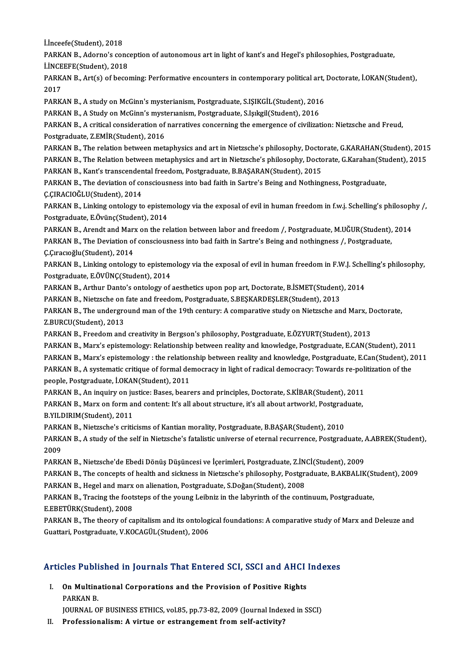İ.İnceefe(Student),2018

İ.İnceefe(Student), 2018<br>PARKAN B., Adorno's conception of autonomous art in light of kant's and Hegel's philosophies, Postgraduate,<br>LiNGEEEE(Student), 2019 **İ.İnceefe(Student), 2018<br>PARKAN B., Adorno's conc<br>İ.İNCEEFE(Student), 2018** PARKAN B., Adorno's conception of autonomous art in light of kant's and Hegel's philosophies, Postgraduate,<br>İ.İNCEEFE(Student), 2018<br>PARKAN B., Art(s) of becoming: Performative encounters in contemporary political art, Doc

**LINCE**<br>PARK<br>2017<br>PARK PARKAN B., Art(s) of becoming: Performative encounters in contemporary political art,<br>2017<br>PARKAN B., A study on McGinn's mysterianism, Postgraduate, S.IŞIKGİL(Student), 2016<br>PARKAN B., A Study on McGinn's mysterianism, Po

2017<br>PARKAN B., A study on McGinn's mysterianism, Postgraduate, S.IŞIKGİL(Student), 2016

PARKAN B., A Study on McGinn's mysterianism, Postgraduate, S.Işikgil(Student), 2016

PARKAN B., A critical consideration of narratives concerning the emergence of civilization: Nietzsche and Freud, Postgraduate, Z.EMİR(Student), 2016 PARKAN B., A critical consideration of narratives concerning the emergence of civilization: Nietzsche and Freud,<br>Postgraduate, Z.EMİR(Student), 2016<br>PARKAN B., The relation between metaphysics and art in Nietzsche's philos

Postgraduate, Z.EMİR(Student), 2016<br>PARKAN B., The relation between metaphysics and art in Nietzsche's philosophy, Doctorate, G.KARAHAN(Student), 2015<br>PARKAN B., The Relation between metaphysics and art in Nietzsche's phil PARKAN B., The relation between metaphysics and art in Nietzsche's philosophy, Docto<br>PARKAN B., The Relation between metaphysics and art in Nietzsche's philosophy, Docto<br>PARKAN B., Kant's transcendental freedom, Postgradua

PARKAN B., The Relation between metaphysics and art in Nietzsche's philosophy, Doctorate, G.Karahan(Stu<br>PARKAN B., Kant's transcendental freedom, Postgraduate, B.BAŞARAN(Student), 2015<br>PARKAN B., The deviation of conscious PARKAN B., Kant's transcender<br>PARKAN B., The deviation of co<br>Ç.ÇIRACIOĞLU(Student), 2014<br>PARKAN B. Linking ontology to PARKAN B., The deviation of consciousness into bad faith in Sartre's Being and Nothingness, Postgraduate,<br>Ç.ÇIRACIOĞLU(Student), 2014<br>PARKAN B., Linking ontology to epistemology via the exposal of evil in human freedom in

C.CIRACIOĞLU(Student), 2014<br>PARKAN B., Linking ontology to epister<br>Postgraduate, E.Övünç(Student), 2014<br>PARKAN B. Arendt and Mary on the re PARKAN B., Linking ontology to epistemology via the exposal of evil in human freedom in f.w.j. Schelling's philosoph<br>Postgraduate, E.Övünç(Student), 2014<br>PARKAN B., Arendt and Marx on the relation between labor and freedom

Postgraduate, E.Övünç(Student), 2014<br>PARKAN B., Arendt and Marx on the relation between labor and freedom /, Postgraduate, M.UĞUR(Student),<br>PARKAN B., The Deviation of consciousness into bad faith in Sartre's Being and not PARKAN B., Arendt and Mar:<br>PARKAN B., The Deviation of<br>Ç.Çıracıoğlu(Student), 2014<br>PARKAN B. Linking ontology PARKAN B., The Deviation of consciousness into bad faith in Sartre's Being and nothingness /, Postgraduate,<br>Ç.Çıracıoğlu(Student), 2014<br>PARKAN B., Linking ontology to epistemology via the exposal of evil in human freedom i

Ç.Çıracıoğlu(Student), 2014<br>PARKAN B., Linking ontology to epistem<br>Postgraduate, E.ÖVÜNÇ(Student), 2014<br>PARKAN B., Arthur Danta's ontology of PARKAN B., Linking ontology to epistemology via the exposal of evil in human freedom in F.W.J. Sche<br>Postgraduate, E.ÖVÜNÇ(Student), 2014<br>PARKAN B., Arthur Danto's ontology of aesthetics upon pop art, Doctorate, B.İSMET(Stu Postgraduate, E.ÖVÜNÇ(Student), 2014<br>PARKAN B., Arthur Danto's ontology of aesthetics upon pop art, Doctorate, B.İSMET(Student)<br>PARKAN B., Nietzsche on fate and freedom, Postgraduate, S.BEŞKARDEŞLER(Student), 2013<br>RARKAN B

PARKAN B., Arthur Danto's ontology of aesthetics upon pop art, Doctorate, B.İSMET(Student), 2014<br>PARKAN B., Nietzsche on fate and freedom, Postgraduate, S.BEŞKARDEŞLER(Student), 2013<br>PARKAN B., The underground man of the 1 PARKAN B., Nietzsche on<br>PARKAN B., The undergro<br>Z.BURCU(Student), 2013<br>PARKAN B., Execdom and PARKAN B., The underground man of the 19th century: A comparative study on Nietzsche and Marx, D<br>Z.BURCU(Student), 2013<br>PARKAN B., Freedom and creativity in Bergson's philosophy, Postgraduate, E.ÖZYURT(Student), 2013<br>PARKA

Z.BURCU(Student), 2013<br>PARKAN B., Freedom and creativity in Bergson's philosophy, Postgraduate, E.ÖZYURT(Student), 2013<br>PARKAN B., Marx's epistemology: Relationship between reality and knowledge, Postgraduate, E.CAN(Studen PARKAN B., Freedom and creativity in Bergson's philosophy, Postgraduate, E.ÖZYURT(Student), 2013<br>PARKAN B., Marx's epistemology: Relationship between reality and knowledge, Postgraduate, E.CAN(Student), 2011<br>PARKAN B., Mar

PARKAN B., Marx's epistemology: Relationship between reality and knowledge, Postgraduate, E.CAN(Student), 2011<br>PARKAN B., Marx's epistemology : the relationship between reality and knowledge, Postgraduate, E.Can(Student), PARKAN B., Marx's epistemology : the relation<br>PARKAN B., A systematic critique of formal de<br>people, Postgraduate, İ.OKAN(Student), 2011<br>PARKAN B., An inquiru on justiqu Passe, bear PARKAN B., A systematic critique of formal democracy in light of radical democracy: Towards re-politization of the<br>people, Postgraduate, İ.OKAN(Student), 2011<br>PARKAN B., An inquiry on justice: Bases, bearers and principles

people, Postgraduate, İ.OKAN(Student), 2011<br>PARKAN B., An inquiry on justice: Bases, bearers and principles, Doctorate, S.KİBAR(Student), 2011<br>PARKAN B., Marx on form and content: It's all about structure, it's all about a PARKAN B., An inquiry on ju<br>PARKAN B., Marx on form al<br>B.YILDIRIM(Student), 2011<br>PARKAN B. Nistrashola quiti PARKAN B., Marx on form and content: It's all about structure, it's all about artwork!, Postgrad<br>B.YILDIRIM(Student), 2011<br>PARKAN B., Nietzsche's criticisms of Kantian morality, Postgraduate, B.BAŞAR(Student), 2010<br>PARKAN

B.YILDIRIM(Student), 2011<br>PARKAN B., Nietzsche's criticisms of Kantian morality, Postgraduate, B.BAŞAR(Student), 2010<br>PARKAN B., A study of the self in Nietzsche's fatalistic universe of eternal recurrence, Postgraduate, A PARK<br>PARK<br>2009<br><sup>PARK</sup> PARKAN B., A study of the self in Nietzsche's fatalistic universe of eternal recurrence, Postgraduate, <mark>.</mark><br>2009<br>PARKAN B., Nietzsche'de Ebedi Dönüş Düşüncesi ve İçerimleri, Postgraduate, Z.İNCİ(Student), 2009<br>PARKAN B., Th 2009<br>PARKAN B., Nietzsche'de Ebedi Dönüş Düşüncesi ve İçerimleri, Postgraduate, Z.İNCİ(Student), 2009<br>PARKAN B., The concepts of health and sickness in Nietzsche's philosophy, Postgraduate, B.AKBALIK(Student), 2009<br>RARKAN

PARKAN B., Nietzsche'de Ebedi Dönüş Düşüncesi ve İçerimleri, Postgraduate, Z.İN<br>PARKAN B., The concepts of health and sickness in Nietzsche's philosophy, Postgra<br>PARKAN B., Hegel and marx on alienation, Postgraduate, S.Doğ

PARKAN B., The concepts of health and sickness in Nietzsche's philosophy, Postgraduate, B.AKBALIK(St<br>PARKAN B., Hegel and marx on alienation, Postgraduate, S.Doğan(Student), 2008<br>PARKAN B., Tracing the footsteps of the you PARKAN B., Hegel and marx on alienation, Postgraduate, S.Doğan(Student), 2008<br>PARKAN B., Tracing the footsteps of the young Leibniz in the labyrinth of the continuum, Postgraduate,<br>E.EBETÜRK(Student), 2008

PARKAN B., Tracing the footsteps of the young Leibniz in the labyrinth of the continuum, Postgraduate,<br>E.EBETÜRK(Student), 2008<br>PARKAN B., The theory of capitalism and its ontological foundations: A comparative study of Ma E.EBETÜRK(Student), 2008<br>PARKAN B., The theory of capitalism and its ontolog<br>Guattari, Postgraduate, V.KOCAGÜL(Student), 2006

# Articles Published in Journals That Entered SCI, SSCI and AHCI Indexes

rticles Published in Journals That Entered SCI, SSCI and AHCI<br>I. On Multinational Corporations and the Provision of Positive Rights<br>RARKAN R SICUT HUM<br>On Multina<br>PARKAN B. On Multinational Corporations and the Provision of Positive Rights<br>PARKAN B.<br>JOURNAL OF BUSINESS ETHICS, vol.85, pp.73-82, 2009 (Journal Indexed in SSCI)<br>Professionalism: A vintue or estrangement from self-estivity?

PARKAN B.<br>JOURNAL OF BUSINESS ETHICS, vol.85, pp.73-82, 2009 (Journal Indexed in SSCI)<br>II. Professionalism: A virtue or estrangement from self-activity?